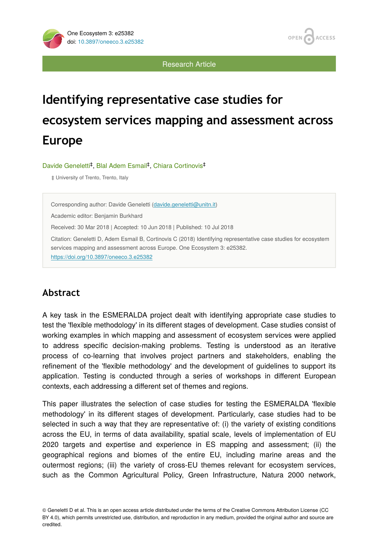OPEN **ACCESS** 

Research Article

# **Identifying representative case studies for ecosystem services mapping and assessment across Europe**

Davide Geneletti<sup>‡</sup>, Blal Adem Esmail<sup>‡</sup>, Chiara Cortinovis<sup>‡</sup>

‡ University of Trento, Trento, Italy

Corresponding author: Davide Geneletti [\(davide.geneletti@unitn.it\)](mailto:davide.geneletti@unitn.it)

Academic editor: Benjamin Burkhard

Received: 30 Mar 2018 | Accepted: 10 Jun 2018 | Published: 10 Jul 2018

Citation: Geneletti D, Adem Esmail B, Cortinovis C (2018) Identifying representative case studies for ecosystem services mapping and assessment across Europe. One Ecosystem 3: e25382. <https://doi.org/10.3897/oneeco.3.e25382>

## **Abstract**

A key task in the ESMERALDA project dealt with identifying appropriate case studies to test the 'flexible methodology' in its different stages of development. Case studies consist of working examples in which mapping and assessment of ecosystem services were applied to address specific decision-making problems. Testing is understood as an iterative process of co-learning that involves project partners and stakeholders, enabling the refinement of the 'flexible methodology' and the development of guidelines to support its application. Testing is conducted through a series of workshops in different European contexts, each addressing a different set of themes and regions.

This paper illustrates the selection of case studies for testing the ESMERALDA 'flexible methodology' in its different stages of development. Particularly, case studies had to be selected in such a way that they are representative of: (i) the variety of existing conditions across the EU, in terms of data availability, spatial scale, levels of implementation of EU 2020 targets and expertise and experience in ES mapping and assessment; (ii) the geographical regions and biomes of the entire EU, including marine areas and the outermost regions; (iii) the variety of cross-EU themes relevant for ecosystem services, such as the Common Agricultural Policy, Green Infrastructure, Natura 2000 network,

© Geneletti D et al. This is an open access article distributed under the terms of the Creative Commons Attribution License (CC BY 4.0), which permits unrestricted use, distribution, and reproduction in any medium, provided the original author and source are credited.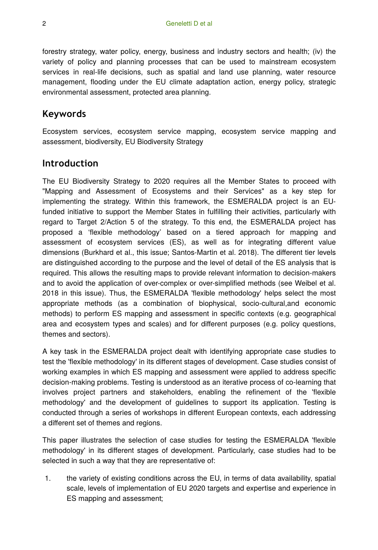forestry strategy, water policy, energy, business and industry sectors and health; (iv) the variety of policy and planning processes that can be used to mainstream ecosystem services in real-life decisions, such as spatial and land use planning, water resource management, flooding under the EU climate adaptation action, energy policy, strategic environmental assessment, protected area planning.

## **Keywords**

Ecosystem services, ecosystem service mapping, ecosystem service mapping and assessment, biodiversity, EU Biodiversity Strategy

## **Introduction**

The EU Biodiversity Strategy to 2020 requires all the Member States to proceed with "Mapping and Assessment of Ecosystems and their Services" as a key step for implementing the strategy. Within this framework, the ESMERALDA project is an EUfunded initiative to support the Member States in fulfilling their activities, particularly with regard to Target 2/Action 5 of the strategy. To this end, the ESMERALDA project has proposed a 'flexible methodology' based on a tiered approach for mapping and assessment of ecosystem services (ES), as well as for integrating different value dimensions (Burkhard et al., this issue; Santos-Martin et al. 2018). The different tier levels are distinguished according to the purpose and the level of detail of the ES analysis that is required. This allows the resulting maps to provide relevant information to decision-makers and to avoid the application of over-complex or over-simplified methods (see Weibel et al. 2018 in this issue). Thus, the ESMERALDA 'flexible methodology' helps select the most appropriate methods (as a combination of biophysical, socio-cultural,and economic methods) to perform ES mapping and assessment in specific contexts (e.g. geographical area and ecosystem types and scales) and for different purposes (e.g. policy questions, themes and sectors).

A key task in the ESMERALDA project dealt with identifying appropriate case studies to test the 'flexible methodology' in its different stages of development. Case studies consist of working examples in which ES mapping and assessment were applied to address specific decision-making problems. Testing is understood as an iterative process of co-learning that involves project partners and stakeholders, enabling the refinement of the 'flexible methodology' and the development of guidelines to support its application. Testing is conducted through a series of workshops in different European contexts, each addressing a different set of themes and regions.

This paper illustrates the selection of case studies for testing the ESMERALDA 'flexible methodology' in its different stages of development. Particularly, case studies had to be selected in such a way that they are representative of:

1. the variety of existing conditions across the EU, in terms of data availability, spatial scale, levels of implementation of EU 2020 targets and expertise and experience in ES mapping and assessment;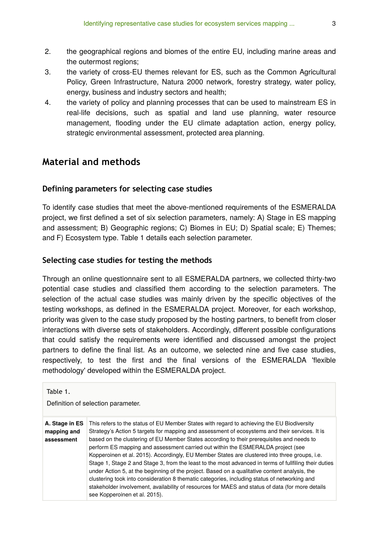- 2. the geographical regions and biomes of the entire EU, including marine areas and the outermost regions;
- 3. the variety of cross-EU themes relevant for ES, such as the Common Agricultural Policy, Green Infrastructure, Natura 2000 network, forestry strategy, water policy, energy, business and industry sectors and health;
- 4. the variety of policy and planning processes that can be used to mainstream ES in real-life decisions, such as spatial and land use planning, water resource management, flooding under the EU climate adaptation action, energy policy, strategic environmental assessment, protected area planning.

## **Material and methods**

#### **Defining parameters for selecting case studies**

To identify case studies that meet the above-mentioned requirements of the ESMERALDA project, we first defined a set of six selection parameters, namely: A) Stage in ES mapping and assessment; B) Geographic regions; C) Biomes in EU; D) Spatial scale; E) Themes; and F) Ecosystem type. Table 1 details each selection parameter.

#### **Selecting case studies for testing the methods**

Through an online questionnaire sent to all ESMERALDA partners, we collected thirty-two potential case studies and classified them according to the selection parameters. The selection of the actual case studies was mainly driven by the specific objectives of the testing workshops, as defined in the ESMERALDA project. Moreover, for each workshop, priority was given to the case study proposed by the hosting partners, to benefit from closer interactions with diverse sets of stakeholders. Accordingly, different possible configurations that could satisfy the requirements were identified and discussed amongst the project partners to define the final list. As an outcome, we selected nine and five case studies, respectively, to test the first and the final versions of the ESMERALDA 'flexible methodology' developed within the ESMERALDA project.

Table 1.

Definition of selection parameter.

| A. Stage in ES | This refers to the status of EU Member States with regard to achieving the EU Biodiversity            |
|----------------|-------------------------------------------------------------------------------------------------------|
| mapping and    | Strategy's Action 5 targets for mapping and assessment of ecosystems and their services. It is        |
| assessment     | based on the clustering of EU Member States according to their prerequisites and needs to             |
|                | perform ES mapping and assessment carried out within the ESMERALDA project (see                       |
|                | Kopperoinen et al. 2015). Accordingly, EU Member States are clustered into three groups, i.e.         |
|                | Stage 1, Stage 2 and Stage 3, from the least to the most advanced in terms of fullfiling their duties |
|                | under Action 5, at the beginning of the project. Based on a qualitative content analysis, the         |
|                | clustering took into consideration 8 thematic categories, including status of networking and          |
|                | stakeholder involvement, availability of resources for MAES and status of data (for more details      |
|                | see Kopperoinen et al. 2015).                                                                         |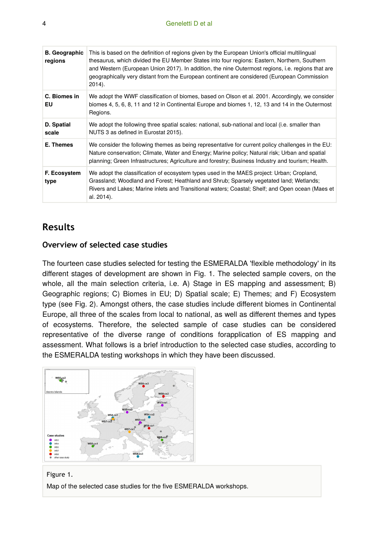| <b>B.</b> Geographic<br>regions | This is based on the definition of regions given by the European Union's official multilingual<br>thesaurus, which divided the EU Member States into four regions: Eastern, Northern, Southern<br>and Western (European Union 2017). In addition, the nine Outermost regions, i.e. regions that are<br>geographically very distant from the European continent are considered (European Commission<br>$2014$ ). |
|---------------------------------|-----------------------------------------------------------------------------------------------------------------------------------------------------------------------------------------------------------------------------------------------------------------------------------------------------------------------------------------------------------------------------------------------------------------|
| C. Biomes in<br>EU              | We adopt the WWF classification of biomes, based on Olson et al. 2001. Accordingly, we consider<br>biomes 4, 5, 6, 8, 11 and 12 in Continental Europe and biomes 1, 12, 13 and 14 in the Outermost<br>Regions.                                                                                                                                                                                                  |
| D. Spatial<br>scale             | We adopt the following three spatial scales: national, sub-national and local (i.e. smaller than<br>NUTS 3 as defined in Eurostat 2015).                                                                                                                                                                                                                                                                        |
| E. Themes                       | We consider the following themes as being representative for current policy challenges in the EU:<br>Nature conservation; Climate, Water and Energy; Marine policy; Natural risk; Urban and spatial<br>planning; Green Infrastructures; Agriculture and forestry; Business Industry and tourism; Health.                                                                                                        |
| F. Ecosystem<br>type            | We adopt the classification of ecosystem types used in the MAES project: Urban; Cropland,<br>Grassland; Woodland and Forest; Heathland and Shrub; Sparsely vegetated land; Wetlands;<br>Rivers and Lakes; Marine inlets and Transitional waters; Coastal; Shelf; and Open ocean (Maes et<br>al. 2014).                                                                                                          |

## **Results**

#### **Overview of selected case studies**

The fourteen case studies selected for testing the ESMERALDA 'flexible methodology' in its different stages of development are shown in Fig. 1. The selected sample covers, on the whole, all the main selection criteria, i.e. A) Stage in ES mapping and assessment; B) Geographic regions; C) Biomes in EU; D) Spatial scale; E) Themes; and F) Ecosystem type (see Fig. 2). Amongst others, the case studies include different biomes in Continental Europe, all three of the scales from local to national, as well as different themes and types of ecosystems. Therefore, the selected sample of case studies can be considered representative of the diverse range of conditions forapplication of ES mapping and assessment. What follows is a brief introduction to the selected case studies, according to the ESMERALDA testing workshops in which they have been discussed.



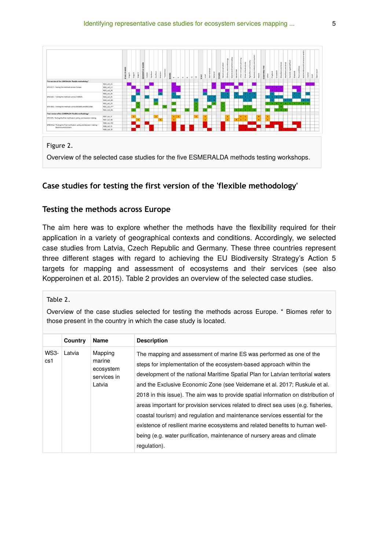

#### **Case studies for testing the first version of the 'flexible methodology'**

#### **Testing the methods across Europe**

The aim here was to explore whether the methods have the flexibility required for their application in a variety of geographical contexts and conditions. Accordingly, we selected case studies from Latvia, Czech Republic and Germany. These three countries represent three different stages with regard to achieving the EU Biodiversity Strategy's Action 5 targets for mapping and assessment of ecosystems and their services (see also Kopperoinen et al. 2015). Table 2 provides an overview of the selected case studies.

Table 2.

Overview of the case studies selected for testing the methods across Europe. \* Biomes refer to those present in the country in which the case study is located.

|                    | Country | Name                                                    | <b>Description</b>                                                                                                                                                                                                                                                                                                                                                                                                                                                                                                                                                                                                                                                                                                                                 |
|--------------------|---------|---------------------------------------------------------|----------------------------------------------------------------------------------------------------------------------------------------------------------------------------------------------------------------------------------------------------------------------------------------------------------------------------------------------------------------------------------------------------------------------------------------------------------------------------------------------------------------------------------------------------------------------------------------------------------------------------------------------------------------------------------------------------------------------------------------------------|
| <b>WS3-</b><br>cs1 | Latvia  | Mapping<br>marine<br>ecosystem<br>services in<br>Latvia | The mapping and assessment of marine ES was performed as one of the<br>steps for implementation of the ecosystem-based approach within the<br>development of the national Maritime Spatial Plan for Latvian territorial waters<br>and the Exclusive Economic Zone (see Veidemane et al. 2017; Ruskule et al.<br>2018 in this issue). The aim was to provide spatial information on distribution of<br>areas important for provision services related to direct sea uses (e.g. fisheries,<br>coastal tourism) and regulation and maintenance services essential for the<br>existence of resilient marine ecosystems and related benefits to human well-<br>being (e.g. water purification, maintenance of nursery areas and climate<br>regulation). |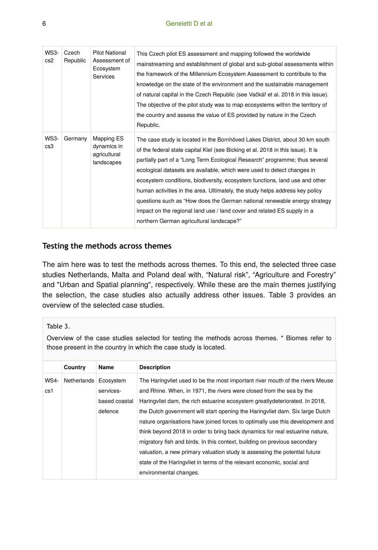| <b>WS3-</b><br>cs2 | Czech<br>Republic | <b>Pilot National</b><br>Assessment of<br>Ecosystem<br><b>Services</b> | This Czech pilot ES assessment and mapping followed the worldwide<br>mainstreaming and establishment of global and sub-global assessments within<br>the framework of the Millennium Ecosystem Assessment to contribute to the<br>knowledge on the state of the environment and the sustainable management<br>of natural capital in the Czech Republic (see Vačkář et al. 2018 in this issue).<br>The objective of the pilot study was to map ecosystems within the territory of                                                                                                                                                                                                               |
|--------------------|-------------------|------------------------------------------------------------------------|-----------------------------------------------------------------------------------------------------------------------------------------------------------------------------------------------------------------------------------------------------------------------------------------------------------------------------------------------------------------------------------------------------------------------------------------------------------------------------------------------------------------------------------------------------------------------------------------------------------------------------------------------------------------------------------------------|
|                    |                   |                                                                        | the country and assess the value of ES provided by nature in the Czech<br>Republic.                                                                                                                                                                                                                                                                                                                                                                                                                                                                                                                                                                                                           |
| WS3-<br>cs3        | Germany           | Mapping ES<br>dynamics in<br>agricultural<br>landscapes                | The case study is located in the Bornhöved Lakes District, about 30 km south<br>of the federal state capital Kiel (see Bicking et al. 2018 in this issue). It is<br>partially part of a "Long Term Ecological Research" programme; thus several<br>ecological datasets are available, which were used to detect changes in<br>ecosystem conditions, biodiversity, ecosystem functions, land use and other<br>human activities in the area. Ultimately, the study helps address key policy<br>questions such as "How does the German national renewable energy strategy<br>impact on the regional land use / land cover and related ES supply in a<br>northern German agricultural landscape?" |

#### **Testing the methods across themes**

The aim here was to test the methods across themes. To this end, the selected three case studies Netherlands, Malta and Poland deal with, "Natural risk", "Agriculture and Forestry" and "Urban and Spatial planning", respectively. While these are the main themes justifying the selection, the case studies also actually address other issues. Table 3 provides an overview of the selected case studies.

#### Table 3.

Overview of the case studies selected for testing the methods across themes. \* Biomes refer to those present in the country in which the case study is located.

|             | Country               | Name          | <b>Description</b>                                                            |
|-------------|-----------------------|---------------|-------------------------------------------------------------------------------|
| <b>WS4-</b> | Netherlands Ecosystem |               | The Haringvliet used to be the most important river mouth of the rivers Meuse |
| cs1         |                       | services-     | and Rhine. When, in 1971, the rivers were closed from the sea by the          |
|             |                       | based coastal | Haringvliet dam, the rich estuarine ecosystem greatly deteriorated. In 2018,  |
|             |                       | defence       | the Dutch government will start opening the Haring vliet dam. Six large Dutch |
|             |                       |               | nature organisations have joined forces to optimally use this development and |
|             |                       |               | think beyond 2018 in order to bring back dynamics for real estuarine nature,  |
|             |                       |               | migratory fish and birds. In this context, building on previous secondary     |
|             |                       |               | valuation, a new primary valuation study is assessing the potential future    |
|             |                       |               | state of the Haringvliet in terms of the relevant economic, social and        |
|             |                       |               | environmental changes.                                                        |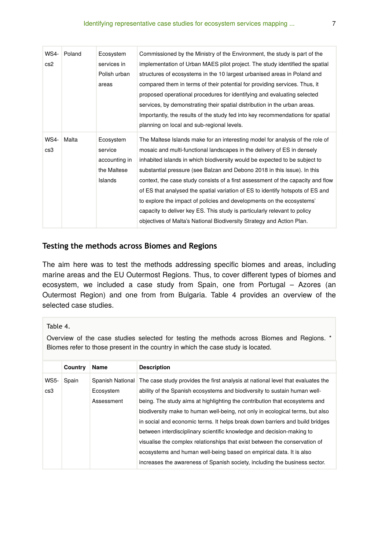| <b>WS4-</b><br>cs2 | Poland | Ecosystem<br>services in<br>Polish urban<br>areas               | Commissioned by the Ministry of the Environment, the study is part of the<br>implementation of Urban MAES pilot project. The study identified the spatial<br>structures of ecosystems in the 10 largest urbanised areas in Poland and<br>compared them in terms of their potential for providing services. Thus, it<br>proposed operational procedures for identifying and evaluating selected<br>services, by demonstrating their spatial distribution in the urban areas.<br>Importantly, the results of the study fed into key recommendations for spatial<br>planning on local and sub-regional levels.                                                                                                            |
|--------------------|--------|-----------------------------------------------------------------|------------------------------------------------------------------------------------------------------------------------------------------------------------------------------------------------------------------------------------------------------------------------------------------------------------------------------------------------------------------------------------------------------------------------------------------------------------------------------------------------------------------------------------------------------------------------------------------------------------------------------------------------------------------------------------------------------------------------|
| <b>WS4-</b><br>cs3 | Malta  | Ecosystem<br>service<br>accounting in<br>the Maltese<br>Islands | The Maltese Islands make for an interesting model for analysis of the role of<br>mosaic and multi-functional landscapes in the delivery of ES in densely<br>inhabited islands in which biodiversity would be expected to be subject to<br>substantial pressure (see Balzan and Debono 2018 in this issue). In this<br>context, the case study consists of a first assessment of the capacity and flow<br>of ES that analysed the spatial variation of ES to identify hotspots of ES and<br>to explore the impact of policies and developments on the ecosystems'<br>capacity to deliver key ES. This study is particularly relevant to policy<br>objectives of Malta's National Biodiversity Strategy and Action Plan. |

#### **Testing the methods across Biomes and Regions**

The aim here was to test the methods addressing specific biomes and areas, including marine areas and the EU Outermost Regions. Thus, to cover different types of biomes and ecosystem, we included a case study from Spain, one from Portugal – Azores (an Outermost Region) and one from from Bulgaria. Table 4 provides an overview of the selected case studies.

#### Table 4.

Overview of the case studies selected for testing the methods across Biomes and Regions. \* Biomes refer to those present in the country in which the case study is located.

|             | Country | Name       | <b>Description</b>                                                                               |
|-------------|---------|------------|--------------------------------------------------------------------------------------------------|
| <b>WS5-</b> | Spain   |            | Spanish National The case study provides the first analysis at national level that evaluates the |
| cs3         |         | Ecosystem  | ability of the Spanish ecosystems and biodiversity to sustain human well-                        |
|             |         | Assessment | being. The study aims at highlighting the contribution that ecosystems and                       |
|             |         |            | biodiversity make to human well-being, not only in ecological terms, but also                    |
|             |         |            | in social and economic terms. It helps break down barriers and build bridges                     |
|             |         |            | between interdisciplinary scientific knowledge and decision-making to                            |
|             |         |            | visualise the complex relationships that exist between the conservation of                       |
|             |         |            | ecosystems and human well-being based on empirical data. It is also                              |
|             |         |            | increases the awareness of Spanish society, including the business sector.                       |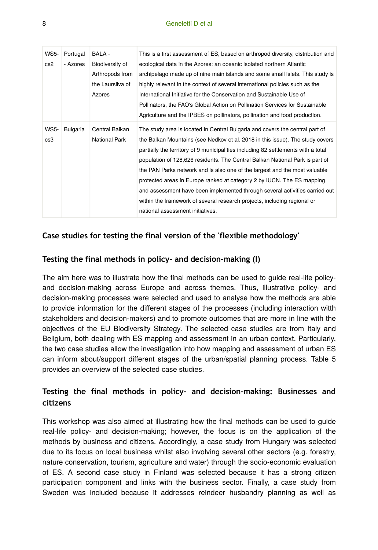| <b>WS5-</b> | Portugal        | BALA -           | This is a first assessment of ES, based on arthropod diversity, distribution and  |
|-------------|-----------------|------------------|-----------------------------------------------------------------------------------|
| cs2         | - Azores        | Biodiversity of  | ecological data in the Azores: an oceanic isolated northern Atlantic              |
|             |                 | Arthropods from  | archipelago made up of nine main islands and some small islets. This study is     |
|             |                 | the Laursilva of | highly relevant in the context of several international policies such as the      |
|             |                 | Azores           | International Initiative for the Conservation and Sustainable Use of              |
|             |                 |                  | Pollinators, the FAO's Global Action on Pollination Services for Sustainable      |
|             |                 |                  | Agriculture and the IPBES on pollinators, pollination and food production.        |
| <b>WS5-</b> | <b>Bulgaria</b> | Central Balkan   | The study area is located in Central Bulgaria and covers the central part of      |
| cs3         |                 | National Park    | the Balkan Mountains (see Nedkov et al. 2018 in this issue). The study covers     |
|             |                 |                  | partially the territory of 9 municipalities including 82 settlements with a total |
|             |                 |                  | population of 128,626 residents. The Central Balkan National Park is part of      |
|             |                 |                  | the PAN Parks network and is also one of the largest and the most valuable        |
|             |                 |                  | protected areas in Europe ranked at category 2 by IUCN. The ES mapping            |
|             |                 |                  | and assessment have been implemented through several activities carried out       |
|             |                 |                  | within the framework of several research projects, including regional or          |
|             |                 |                  | national assessment initiatives.                                                  |

#### **Case studies for testing the final version of the 'flexible methodology'**

#### **Testing the final methods in policy- and decision-making (I)**

The aim here was to illustrate how the final methods can be used to guide real-life policyand decision-making across Europe and across themes. Thus, illustrative policy- and decision-making processes were selected and used to analyse how the methods are able to provide information for the different stages of the processes (including interaction witth stakeholders and decision-makers) and to promote outcomes that are more in line with the objectives of the EU Biodiversity Strategy. The selected case studies are from Italy and Beligium, both dealing with ES mapping and assessment in an urban context. Particularly, the two case studies allow the investigation into how mapping and assessment of urban ES can inform about/support different stages of the urban/spatial planning process. Table 5 provides an overview of the selected case studies.

## **Testing the final methods in policy- and decision-making: Businesses and citizens**

This workshop was also aimed at illustrating how the final methods can be used to guide real-life policy- and decision-making; however, the focus is on the application of the methods by business and citizens. Accordingly, a case study from Hungary was selected due to its focus on local business whilst also involving several other sectors (e.g. forestry, nature conservation, tourism, agriculture and water) through the socio-economic evaluation of ES. A second case study in Finland was selected because it has a strong citizen participation component and links with the business sector. Finally, a case study from Sweden was included because it addresses reindeer husbandry planning as well as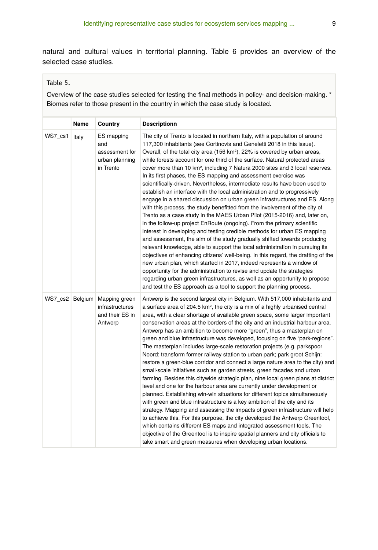natural and cultural values in territorial planning. Table 6 provides an overview of the selected case studies.

#### Table 5.

Overview of the case studies selected for testing the final methods in policy- and decision-making. \* Biomes refer to those present in the country in which the case study is located.

|         | Name  | Country                                                                        | <b>Descriptionn</b>                                                                                                                                                                                                                                                                                                                                                                                                                                                                                                                                                                                                                                                                                                                                                                                                                                                                                                                                                                                                                                                                                                                                                                                                                                                                                                                                                                                                                                                                                                                                                                                                  |
|---------|-------|--------------------------------------------------------------------------------|----------------------------------------------------------------------------------------------------------------------------------------------------------------------------------------------------------------------------------------------------------------------------------------------------------------------------------------------------------------------------------------------------------------------------------------------------------------------------------------------------------------------------------------------------------------------------------------------------------------------------------------------------------------------------------------------------------------------------------------------------------------------------------------------------------------------------------------------------------------------------------------------------------------------------------------------------------------------------------------------------------------------------------------------------------------------------------------------------------------------------------------------------------------------------------------------------------------------------------------------------------------------------------------------------------------------------------------------------------------------------------------------------------------------------------------------------------------------------------------------------------------------------------------------------------------------------------------------------------------------|
| WS7_cs1 | Italy | ES mapping<br>and<br>assessment for<br>urban planning<br>in Trento             | The city of Trento is located in northern Italy, with a population of around<br>117,300 inhabitants (see Cortinovis and Geneletti 2018 in this issue).<br>Overall, of the total city area (156 km <sup>2</sup> ), 22% is covered by urban areas,<br>while forests account for one third of the surface. Natural protected areas<br>cover more than 10 km <sup>2</sup> , including 7 Natura 2000 sites and 3 local reserves.<br>In its first phases, the ES mapping and assessment exercise was<br>scientifically-driven. Nevertheless, intermediate results have been used to<br>establish an interface with the local administration and to progressively<br>engage in a shared discussion on urban green infrastructures and ES. Along<br>with this process, the study benefitted from the involvement of the city of<br>Trento as a case study in the MAES Urban Pilot (2015-2016) and, later on,<br>in the follow-up project EnRoute (ongoing). From the primary scientific<br>interest in developing and testing credible methods for urban ES mapping<br>and assessment, the aim of the study gradually shifted towards producing<br>relevant knowledge, able to support the local administration in pursuing its<br>objectives of enhancing citizens' well-being. In this regard, the drafting of the<br>new urban plan, which started in 2017, indeed represents a window of<br>opportunity for the administration to revise and update the strategies<br>regarding urban green infrastructures, as well as an opportunity to propose<br>and test the ES approach as a tool to support the planning process. |
|         |       | WS7 cs2 Belgium Mapping green<br>infrastructures<br>and their ES in<br>Antwerp | Antwerp is the second largest city in Belgium. With 517,000 inhabitants and<br>a surface area of 204.5 km <sup>2</sup> , the city is a mix of a highly urbanised central<br>area, with a clear shortage of available green space, some larger important<br>conservation areas at the borders of the city and an industrial harbour area.<br>Antwerp has an ambition to become more "green", thus a masterplan on<br>green and blue infrastructure was developed, focusing on five "park-regions".<br>The masterplan includes large-scale restoration projects (e.g. parkspoor<br>Noord: transform former railway station to urban park; park groot Schijn:<br>restore a green-blue corridor and connect a large nature area to the city) and<br>small-scale initiatives such as garden streets, green facades and urban<br>farming. Besides this citywide strategic plan, nine local green plans at district<br>level and one for the harbour area are currently under development or<br>planned. Establishing win-win situations for different topics simultaneously<br>with green and blue infrastructure is a key ambition of the city and its<br>strategy. Mapping and assessing the impacts of green infrastructure will help<br>to achieve this. For this purpose, the city developed the Antwerp Greentool,<br>which contains different ES maps and integrated assessment tools. The<br>objective of the Greentool is to inspire spatial planners and city officials to<br>take smart and green measures when developing urban locations.                                                                     |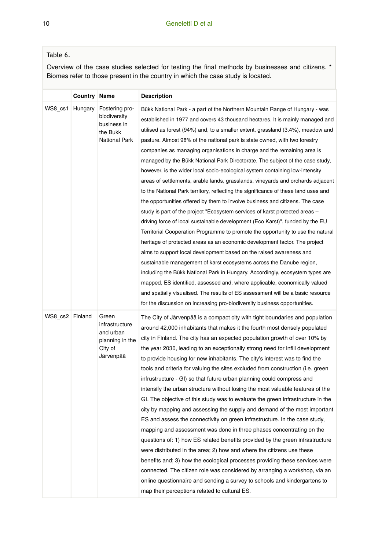### Table 6.

Overview of the case studies selected for testing the final methods by businesses and citizens. \* Biomes refer to those present in the country in which the case study is located.

|                 | Country | Name                                                                            | <b>Description</b>                                                                                                                                                                                                                                                                                                                                                                                                                                                                                                                                                                                                                                                                                                                                                                                                                                                                                                                                                                                                                                                                                                                                                                                                                                                                                                                                                                                                                                                                                                                                                                                                                                |
|-----------------|---------|---------------------------------------------------------------------------------|---------------------------------------------------------------------------------------------------------------------------------------------------------------------------------------------------------------------------------------------------------------------------------------------------------------------------------------------------------------------------------------------------------------------------------------------------------------------------------------------------------------------------------------------------------------------------------------------------------------------------------------------------------------------------------------------------------------------------------------------------------------------------------------------------------------------------------------------------------------------------------------------------------------------------------------------------------------------------------------------------------------------------------------------------------------------------------------------------------------------------------------------------------------------------------------------------------------------------------------------------------------------------------------------------------------------------------------------------------------------------------------------------------------------------------------------------------------------------------------------------------------------------------------------------------------------------------------------------------------------------------------------------|
| WS8 cs1         | Hungary | Fostering pro-<br>biodiversity<br>business in<br>the Bukk<br>National Park      | Bükk National Park - a part of the Northern Mountain Range of Hungary - was<br>established in 1977 and covers 43 thousand hectares. It is mainly managed and<br>utilised as forest (94%) and, to a smaller extent, grassland (3.4%), meadow and<br>pasture. Almost 98% of the national park is state owned, with two forestry<br>companies as managing organisations in charge and the remaining area is<br>managed by the Bükk National Park Directorate. The subject of the case study,<br>however, is the wider local socio-ecological system containing low-intensity<br>areas of settlements, arable lands, grasslands, vineyards and orchards adjacent<br>to the National Park territory, reflecting the significance of these land uses and<br>the opportunities offered by them to involve business and citizens. The case<br>study is part of the project "Ecosystem services of karst protected areas -<br>driving force of local sustainable development (Eco Karst)", funded by the EU<br>Territorial Cooperation Programme to promote the opportunity to use the natural<br>heritage of protected areas as an economic development factor. The project<br>aims to support local development based on the raised awareness and<br>sustainable management of karst ecosystems across the Danube region,<br>including the Bükk National Park in Hungary. Accordingly, ecosystem types are<br>mapped, ES identified, assessed and, where applicable, economically valued<br>and spatially visualised. The results of ES assessment will be a basic resource<br>for the discussion on increasing pro-biodiversity business opportunities. |
| WS8_cs2 Finland |         | Green<br>infrastructure<br>and urban<br>planning in the<br>City of<br>Järvenpää | The City of Järvenpää is a compact city with tight boundaries and population<br>around 42,000 inhabitants that makes it the fourth most densely populated<br>city in Finland. The city has an expected population growth of over 10% by<br>the year 2030, leading to an exceptionally strong need for infill development<br>to provide housing for new inhabitants. The city's interest was to find the<br>tools and criteria for valuing the sites excluded from construction (i.e. green<br>infrustructure - GI) so that future urban planning could compress and<br>intensify the urban structure without losing the most valuable features of the<br>GI. The objective of this study was to evaluate the green infrastructure in the<br>city by mapping and assessing the supply and demand of the most important<br>ES and assess the connectivity on green infrastructure. In the case study,<br>mapping and assessment was done in three phases concentrating on the<br>questions of: 1) how ES related benefits provided by the green infrastructure<br>were distributed in the area; 2) how and where the citizens use these<br>benefits and; 3) how the ecological processes providing these services were<br>connected. The citizen role was considered by arranging a workshop, via an<br>online questionnaire and sending a survey to schools and kindergartens to<br>map their perceptions related to cultural ES.                                                                                                                                                                                                                  |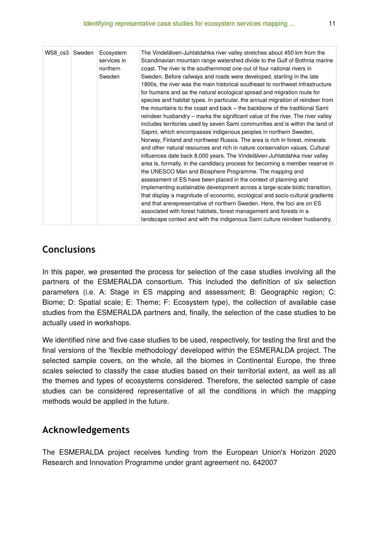| WS8 cs3 Sweden | Ecosystem<br>services in<br>northern<br>Sweden | The Vindelälven-Juhtatdahka river valley stretches about 450 km from the<br>Scandinavian mountain range watershed divide to the Gulf of Bothnia marine<br>coast. The river is the southernmost one out of four national rivers in<br>Sweden. Before railways and roads were developed, starting in the late<br>1800s, the river was the main historical southeast to northwest infrastructure<br>for humans and as the natural ecological spread and migration route for<br>species and habitat types. In particular, the annual migration of reindeer from<br>the mountains to the coast and back – the backbone of the traditional Sami<br>reindeer husbandry – marks the significant value of the river. The river valley<br>includes territories used by seven Sami communities and is within the land of<br>Sapmi, which encompasses indigenous peoples in northern Sweden,<br>Norway, Finland and northwest Russia. The area is rich in forest, minerals<br>and other natural resources and rich in nature conservation values. Cultural<br>influences date back 8,000 years. The Vindelälven-Juhtatdahka river valley<br>area is, formally, in the candidacy process for becoming a member reserve in<br>the UNESCO Man and Biosphere Programme. The mapping and<br>assessment of ES have been placed in the context of planning and<br>implementing sustainable development across a large-scale biotic transition,<br>that display a magnitude of economic, ecological and socio-cultural gradients |
|----------------|------------------------------------------------|--------------------------------------------------------------------------------------------------------------------------------------------------------------------------------------------------------------------------------------------------------------------------------------------------------------------------------------------------------------------------------------------------------------------------------------------------------------------------------------------------------------------------------------------------------------------------------------------------------------------------------------------------------------------------------------------------------------------------------------------------------------------------------------------------------------------------------------------------------------------------------------------------------------------------------------------------------------------------------------------------------------------------------------------------------------------------------------------------------------------------------------------------------------------------------------------------------------------------------------------------------------------------------------------------------------------------------------------------------------------------------------------------------------------------------------------------------------------------------------------------------------|
|                |                                                | and that arerepresentative of northern Sweden. Here, the foci are on ES<br>associated with forest habitats, forest management and forests in a<br>landscape context and with the indigenous Sami culture reindeer husbandry.                                                                                                                                                                                                                                                                                                                                                                                                                                                                                                                                                                                                                                                                                                                                                                                                                                                                                                                                                                                                                                                                                                                                                                                                                                                                                 |

## **Conclusions**

In this paper, we presented the process for selection of the case studies involving all the partners of the ESMERALDA consortium. This included the definition of six selection parameters (i.e. A: Stage in ES mapping and assessment; B: Geographic region; C: Biome; D: Spatial scale; E: Theme; F: Ecosystem type), the collection of available case studies from the ESMERALDA partners and, finally, the selection of the case studies to be actually used in workshops.

We identified nine and five case studies to be used, respectively, for testing the first and the final versions of the 'flexible methodology' developed within the ESMERALDA project. The selected sample covers, on the whole, all the biomes in Continental Europe, the three scales selected to classify the case studies based on their territorial extent, as well as all the themes and types of ecosystems considered. Therefore, the selected sample of case studies can be considered representative of all the conditions in which the mapping methods would be applied in the future.

## **Acknowledgements**

The ESMERALDA project receives funding from the European Union's Horizon 2020 Research and Innovation Programme under grant agreement no. 642007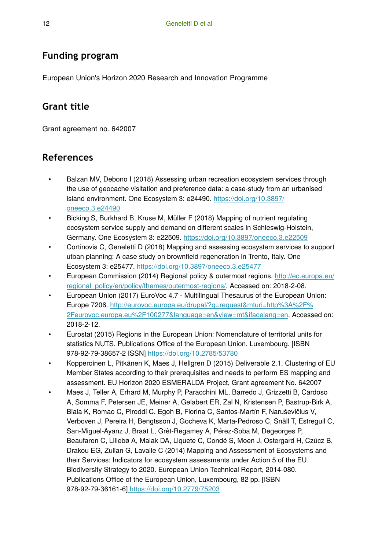## **Funding program**

European Union's Horizon 2020 Research and Innovation Programme

# **Grant title**

Grant agreement no. 642007

# **References**

- Balzan MV, Debono I (2018) Assessing urban recreation ecosystem services through the use of geocache visitation and preference data: a case-study from an urbanised island environment. One Ecosystem 3: e24490. [https://doi.org/10.3897/](https://doi.org/10.3897/oneeco.3.e24490) [oneeco.3.e24490](https://doi.org/10.3897/oneeco.3.e24490)
- Bicking S, Burkhard B, Kruse M, Müller F (2018) Mapping of nutrient regulating ecosystem service supply and demand on different scales in Schleswig-Holstein, Germany. One Ecosystem 3: e22509. <https://doi.org/10.3897/oneeco.3.e22509>
- Cortinovis C, Geneletti D (2018) Mapping and assessing ecosystem services to support utban planning: A case study on brownfield regeneration in Trento, Italy. One Ecosystem 3: e25477.<https://doi.org/10.3897/oneeco.3.e25477>
- European Commission (2014) Regional policy & outermost regions. [http://ec.europa.eu/](http://ec.europa.eu/regional_policy/en/policy/themes/outermost-regions/) [regional\\_policy/en/policy/themes/outermost-regions/](http://ec.europa.eu/regional_policy/en/policy/themes/outermost-regions/). Accessed on: 2018-2-08.
- European Union (2017) EuroVoc 4.7 Multilingual Thesaurus of the European Union: Europe 7206. [http://eurovoc.europa.eu/drupal/?q=request&mturi=http%3A%2F%](http://eurovoc.europa.eu/drupal/?q=request&mturi=http%3A%2F%2Feurovoc.europa.eu%2F100277&language=en&view=mt&ifacelang=en) [2Feurovoc.europa.eu%2F100277&language=en&view=mt&ifacelang=en](http://eurovoc.europa.eu/drupal/?q=request&mturi=http%3A%2F%2Feurovoc.europa.eu%2F100277&language=en&view=mt&ifacelang=en). Accessed on: 2018-2-12.
- Eurostat (2015) Regions in the European Union: Nomenclature of territorial units for statistics NUTS. Publications Office of the European Union, Luxembourg. [ISBN 978-92-79-38657-2 ISSN[\] https://doi.org/10.2785/53780](https://doi.org/10.2785/53780)
- Kopperoinen L, Pitkänen K, Maes J, Hellgren D (2015) Deliverable 2.1. Clustering of EU Member States according to their prerequisites and needs to perform ES mapping and assessment. EU Horizon 2020 ESMERALDA Project, Grant agreement No. 642007
- Maes J, Teller A, Erhard M, Murphy P, Paracchini ML, Barredo J, Grizzetti B, Cardoso A, Somma F, Petersen JE, Meiner A, Gelabert ER, Zal N, Kristensen P, Bastrup-Birk A, Biala K, Romao C, Piroddi C, Egoh B, Florina C, Santos-Martín F, Naruševičius V, Verboven J, Pereira H, Bengtsson J, Gocheva K, Marta-Pedroso C, Snäll T, Estreguil C, San-Miguel-Ayanz J, Braat L, Grêt-Regamey A, Pérez-Soba M, Degeorges P, Beaufaron C, Lillebø A, Malak DA, Liquete C, Condé S, Moen J, Ostergard H, Czúcz B, Drakou EG, Zulian G, Lavalle C (2014) Mapping and Assessment of Ecosystems and their Services: Indicators for ecosystem assessments under Action 5 of the EU Biodiversity Strategy to 2020. European Union Technical Report, 2014-080. Publications Office of the European Union, Luxembourg, 82 pp. [ISBN 978-92-79-36161-6[\] https://doi.org/10.2779/75203](https://doi.org/10.2779/75203)